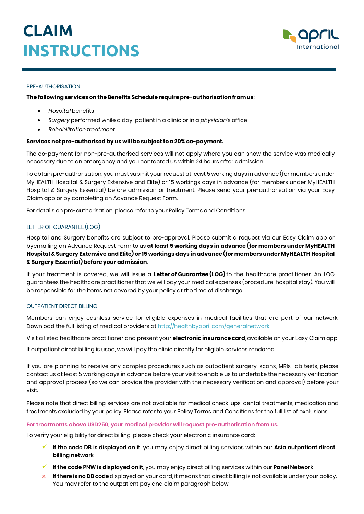

### PRE-AUTHORISATION

### **Thefollowingservices on theBenefits Schedulerequirepre-authorisationfromus**:

- *Hospital* benefits
- *Surgery* performed while a day-patient in a clinic or in a *physician's* office
- *Rehabilitation treatment*

### **Services not pre-authorised byus willbesubject to a 20% co-payment.**

The co-payment for non-pre-authorised services will not apply where you can show the service was medically necessary due to an emergency and you contacted us within 24 hours after admission.

To obtain pre-authorisation, you must submit your request at least 5 working days in advance (for members under MyHEALTH Hospital & Surgery Extensive and Elite) or 15 workings days in advance (for members under MyHEALTH Hospital & Surgery Essential) before admission or treatment. Please send your pre-authorisation via your Easy Claim app or by completing an Advance Request Form.

For details on pre-authorisation, please refer to your Policy Terms and Conditions

## LETTER OF GUARANTEE (LOG)

Hospital and Surgery benefits are subject to pre-approval. Please submit a request via our Easy Claim app or byemailing an Advance Request Form to us **at least 5 working days in advance (for members under MyHEALTH Hospital & Surgery Extensive and Elite) or 15 workings days in advance (for members under MyHEALTH Hospital & Surgery Essential) before your admission**.

If your treatment is covered, we will issue a **Letter of Guarantee (LOG)** to the healthcare practitioner. An LOG guarantees the healthcare practitioner that we will pay your medical expenses (procedure, hospital stay). You will be responsible for the items not covered by your policy at the time of discharge.

### OUTPATIENT DIRECT BILLING

Members can enjoy cashless service for eligible expenses in medical facilities that are part of our network. Download the full listing of medical providers a[t http://healthbyapril.com/generalnetwork](http://healthbyapril.com/generalnetwork)

Visit a listed healthcare practitioner and present your **electronic insurance card**, available on your Easy Claim app.

If outpatient direct billing is used, we will pay the clinic directly for eligible services rendered.

If you are planning to receive any complex procedures such as outpatient surgery, scans, MRIs, lab tests, please contact us at least 5 working days in advance before your visit to enable us to undertake the necessary verification and approval process (so we can provide the provider with the necessary verification and approval) before your visit.

Please note that direct billing services are not available for medical check-ups, dental treatments, medication and treatments excluded by your policy. Please refer to your Policy Terms and Conditions for the full list of exclusions.

### **For treatments above USD250, your medical provider will request pre-authorisation from us.**

To verify your eligibility for direct billing, please check your electronic insurance card:

- **If the code DB is displayed on it**, you may enjoy direct billing services within our **Asia outpatient direct billing network**
- **If the code PNW is displayed on it**, you may enjoy direct billing services within our **Panel Network**
- × **Ifthere is no DB code**displayed on your card, it means that direct billing is not available under your policy. You may refer to the outpatient pay and claim paragraph below.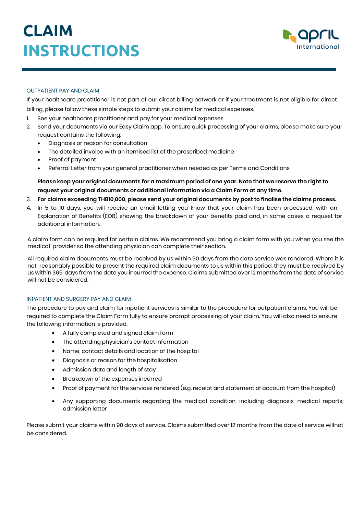

## OUTPATIENT PAY AND CLAIM

If your healthcare practitioner is not part of our direct billing network or if your treatment is not eligible for direct billing, please follow these simple steps to submit your claims for medical expenses.

- 1. See your healthcare practitioner and pay for your medical expenses
- 2. Send your documents via our Easy Claim app. To ensure quick processing of your claims, please make sure your request contains the following:
	- Diagnosis or reason for consultation
	- The detailed invoice with an itemised list of the prescribed medicine
	- Proof of payment
	- Referral Letter from your general practitioner when needed as per Terms and Conditions

**Please keep your original documents for a maximum period of one year. Note that we reserve the right to request your original documents or additional information via a Claim Form at any time.**

- 3. **For claims exceeding THB10,000, please send your original documents by post to finalise the claims process.**
- 4. In 5 to 10 days, you will receive an email letting you know that your claim has been processed, with an Explanation of Benefits (EOB) showing the breakdown of your benefits paid and, in some cases, a request for additional information.

A claim form can be required for certain claims. We recommend you bring a claim form with you when you see the medical provider so the attending physician can complete their section.

All required claim documents must be received by us within 90 days from the date service was rendered. Where it is not reasonably possible to present the required claim documents to us within this period, they must be received by us within 365 days from the date you incurred the expense. Claims submitted over 12 months from the date of service will not be considered.

### INPATIENT AND SURGERY PAY AND CLAIM

The procedure to pay and claim for inpatient services is similar to the procedure for outpatient claims. You will be required to complete the Claim Form fully to ensure prompt processing of your claim. You will also need to ensure the following information is provided.

- A fully completed and signed claim form
- The attending physician's contact information
- Name, contact details and location of the hospital
- Diagnosis or reason for the hospitalisation
- Admission date and length of stay
- Breakdown of the expenses incurred
- Proof of payment for the services rendered (e.g. receipt and statement of account from the hospital)
- Any supporting documents regarding the medical condition, including diagnosis, medical reports, admission letter

Please submit your claims within 90 days of service. Claims submitted over 12 months from the date of service willnot be considered.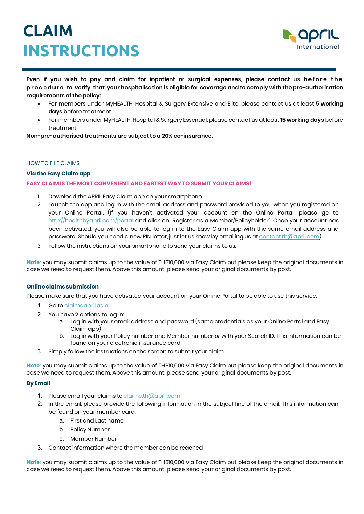

**Even if you wish to pay and claim for inpatient or surgical expenses, please contact us before the procedure to verify that your hospitalisation is eligible for coverage and to comply with the pre-authorisation requirements of the policy:** 

- For members under MyHEALTH, Hospital & Surgery Extensive and Elite: please contact us at least **5 working days** before treatment
- For members under MyHEALTH, Hospital & Surgery Essential: please contact us at least **15 working days** before treatment

**Non-pre-authorised treatments are subject to a 20% co-insurance.** 

### HOW TO FILE CLAIMS

## **Via the Easy Claim app**

### **EASY CLAIM IS THE MOST CONVENIENT AND FASTESTWAY TO SUBMIT YOUR CLAIMS!**

- 1. Download the APRIL Easy Claim app on your smartphone
- 2. Launch the app and log in with the email address and password provided to you when you registered on your Online Portal. (If you haven't activated your account on the Online Portal, please go to [http://healthbyapril.com/portal a](http://healthbyapril.com/portal)nd click on "Register as a Member/Policyholder". Once your account has been activated, you will also be able to log in to the Easy Claim app with the same email address and password. Should you need a new PIN letter, just let us know by emailing us at [contact.th@april.com\)](mailto:contact.th@april.com)
- 3. Follow the instructions on your smartphone to send your claims to us.

**Note**: you may submit claims up to the value of THB10,000 via Easy Claim but please keep the original documents in case we need to request them. Above this amount, please send your original documents by post.

### **Online claims submission**

Please make sure that you have activated your account on your Online Portal to be able to use this service.

- 1. Go to [claims.april.asia](https://claims.april.asia/)
- 2. You have 2 options to log in:
	- a. Log in with your email address and password (same credentials as your Online Portal and Easy Claim app)
	- b. Log in with your Policy number and Member number *or* with your Search ID. This information can be found on your electronic insurance card.
- 3. Simply follow the instructions on the screen to submit your claim.

**Note**: you may submit claims up to the value of THB10,000 via Easy Claim but please keep the original documents in case we need to request them. Above this amount, please send your original documents by post.

### **By Email**

- 1. Please email your claims to [claims.th@april.com](mailto:laims.th@april.com)
- 2. In the email, please provide the following information in the subject line of the email. This information can be found on your member card.
	- a. First and Last name
	- b. Policy Number
	- c. Member Number
- 3. Contact information where the member can be reached

**Note**: you may submit claims up to the value of THB10,000 via Easy Claim but please keep the original documents in case we need to request them. Above this amount, please send your original documents by post.